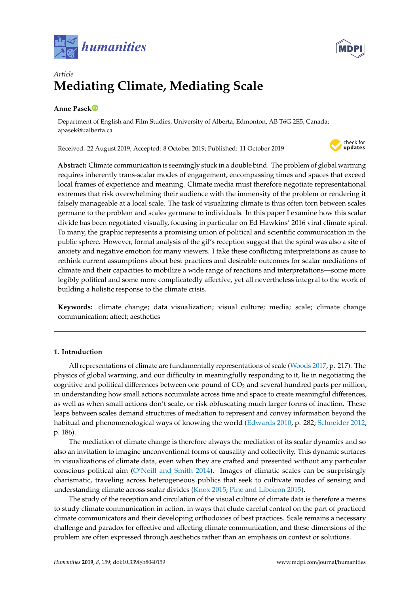



## *Article* **Mediating Climate, Mediating Scale**

## **Anne Pase[k](https://orcid.org/0000-0001-8770-418X)**

Department of English and Film Studies, University of Alberta, Edmonton, AB T6G 2E5, Canada; apasek@ualberta.ca

Received: 22 August 2019; Accepted: 8 October 2019; Published: 11 October 2019



**Abstract:** Climate communication is seemingly stuck in a double bind. The problem of global warming requires inherently trans-scalar modes of engagement, encompassing times and spaces that exceed local frames of experience and meaning. Climate media must therefore negotiate representational extremes that risk overwhelming their audience with the immensity of the problem or rendering it falsely manageable at a local scale. The task of visualizing climate is thus often torn between scales germane to the problem and scales germane to individuals. In this paper I examine how this scalar divide has been negotiated visually, focusing in particular on Ed Hawkins' 2016 viral climate spiral. To many, the graphic represents a promising union of political and scientific communication in the public sphere. However, formal analysis of the gif's reception suggest that the spiral was also a site of anxiety and negative emotion for many viewers. I take these conflicting interpretations as cause to rethink current assumptions about best practices and desirable outcomes for scalar mediations of climate and their capacities to mobilize a wide range of reactions and interpretations—some more legibly political and some more complicatedly affective, yet all nevertheless integral to the work of building a holistic response to the climate crisis.

**Keywords:** climate change; data visualization; visual culture; media; scale; climate change communication; affect; aesthetics

### **1. Introduction**

All representations of climate are fundamentally representations of scale [\(Woods](#page-12-0) [2017,](#page-12-0) p. 217). The physics of global warming, and our difficulty in meaningfully responding to it, lie in negotiating the cognitive and political differences between one pound of  $CO<sub>2</sub>$  and several hundred parts per million, in understanding how small actions accumulate across time and space to create meaningful differences, as well as when small actions don't scale, or risk obfuscating much larger forms of inaction. These leaps between scales demand structures of mediation to represent and convey information beyond the habitual and phenomenological ways of knowing the world [\(Edwards](#page-10-0) [2010,](#page-10-0) p. 282; [Schneider](#page-11-0) [2012,](#page-11-0) p. 186).

The mediation of climate change is therefore always the mediation of its scalar dynamics and so also an invitation to imagine unconventional forms of causality and collectivity. This dynamic surfaces in visualizations of climate data, even when they are crafted and presented without any particular conscious political aim [\(O'Neill and Smith](#page-11-1) [2014\)](#page-11-1). Images of climatic scales can be surprisingly charismatic, traveling across heterogeneous publics that seek to cultivate modes of sensing and understanding climate across scalar divides [\(Knox](#page-10-1) [2015;](#page-10-1) [Pine and Liboiron](#page-11-2) [2015\)](#page-11-2).

The study of the reception and circulation of the visual culture of climate data is therefore a means to study climate communication in action, in ways that elude careful control on the part of practiced climate communicators and their developing orthodoxies of best practices. Scale remains a necessary challenge and paradox for effective and affecting climate communication, and these dimensions of the problem are often expressed through aesthetics rather than an emphasis on context or solutions.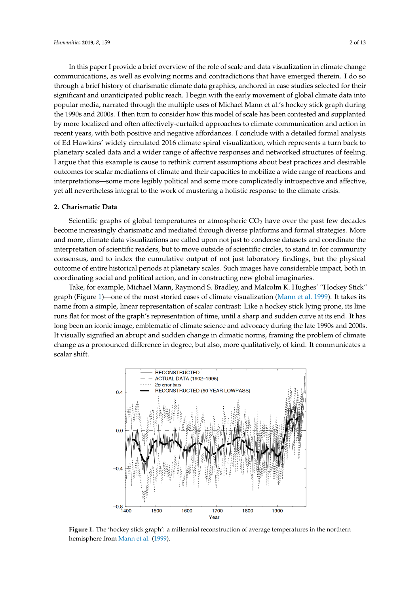In this paper I provide a brief overview of the role of scale and data visualization in climate change communications, as well as evolving norms and contradictions that have emerged therein. I do so the charismatic climate data graphics, and the charismatic climate data graphics, and the charismatic climate selected in case through a brief history of charismatic climate data graphics, anchored in case studies selected for their<br>intervals of the early movement of global climate of global climate of global climate of global climate of glo significant and unanticipated public reach. I begin with the early movement of global climate data into and the multiple uses of Michael Mann et al. 's hockey stickey stickey stickey stickey stickey stickey stickey stickey popular media, narrated through the multiple uses of Michael Mann et al.'s hockey stick graph during<br>the 1990s and 2000s. I then to consider has been contented to content the scale has been contented to be exper the 1990s and 2000s. I then turn to consider how this model of scale has been contested and supplanted<br>. by more localized and often affectively-curtailed approaches to climate communication and action in  $\zeta$ recent years, with both positive and negative affordances. I conclude with a detailed formal analysis of Ed Hawkins' widely circulated 2016 climate spiral visualization, widely circulated 2016 climate spiral visualization, of Ed Hawkins' widely circulated 2016 climate spiral visualization, which represents a turn back to planetary scale responses and a wide range of a wide response of a wide range of a wide range of a wide range of a wide ra planetary scaled data and a wider range of affective responses and networked structures of feeling.<br>I argue that this example is cause to rethink current assumptions as unique to rethink current assumptions of I argue that this example is cause to rethink current assumptions about best practices and desirable outcomes for scalar mediations of climate and their capacities to come to come to come their capacities to come their cap outcomes for scalar mediations of climate and their capacities to mobilize a wide range of reactions and interpretations. interpretations—some more legibly political and some more complicatedly introspective and affective, yet all nevertheless integral to the work of mustering a holistic response to the climate crisis. holistic response to the climate crisis. In this paper I provide a brief overview of the role of scale and data visualization in climate munis paper i provide a brief overview of the role of seale and data visualization in emiliate enarge

# **2. Charismatic Data 2. Charismatic Data**

Scientific graphs of global temperatures or atmospheric  $CO<sub>2</sub>$  have over the past few decades become increasingly charismatic and mediated through diverse platforms and formal strategies. More and more, climate data visualizations are called upon not just to condense datasets and coordinate the Interpretation of scientific readers, but to move outside of scientific circles, to stand in for community interpretation of scientific readers, but to move outside of scientific circles, to stand in for community consensus, and to index the cumulative output of not just laboratory findings, but the physical outcome of entire historical periods at planetary scales. Such images have considerable impact, both in physical outcome of entire entire historical periods of planetary scales. Such images have constructing in plan<br>coordinating social and political action, and in constructing new global imaginaries.

Take, for example, Michael Mann, Raymond S. Bradley, and Malcolm K. Hughes' "Hockey Stick" graph (Figure [1\)](#page-1-0)—one of the most storied cases of climate visualization [\(Mann et al.](#page-11-3) [1999\)](#page-11-3). It takes its graph (Figure 1)—one of the most storied cases of channel Figure 1) and the most start of the most start of the<br>name from a simple, linear representation of scalar contrast: Like a hockey stick lying prone, its line the contrast for the graph's representation of time, until a sharp and sudden curve at its end. It has runs flat for most of the graph's representation of time, until a sharp and sudden curve at its end. It has it is line runs flat flat for most of the graphic representation of the graphy manufacturing the late 1990s and 2000s. It visually signified an abrupt and sudden change in climatic norms, framing the problem of climate.<br>It visually signified an abrupt and sudden change in climatic norms, framing the problem of climate change as a pronounced difference in degree, but also, more qualitatively, of kind. It communicates a scalar shift. problem of climate as a problem of climate change as a problem of climate change of climate in demonstratively.<br>Problem objet

<span id="page-1-0"></span>

**Figure 1.** The 'hockey stick graph': a millennial reconstruction of average temperatures in the northern **Figure 1.** The 'hockey stick graph': a millennial reconstruction of average temperatures in the northern hemisphere from Mann et al. (1999). hemisphere from [Mann et al.](#page-11-3) [\(1999\)](#page-11-3).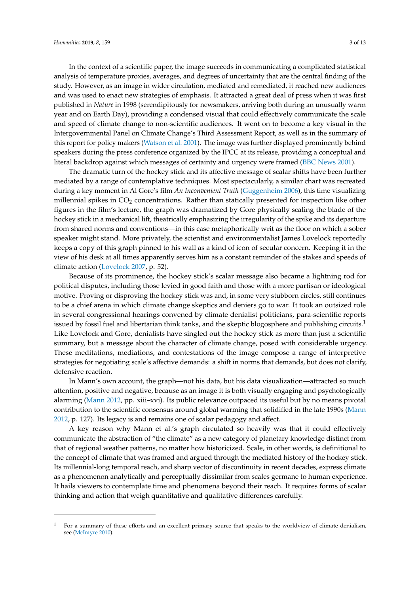In the context of a scientific paper, the image succeeds in communicating a complicated statistical analysis of temperature proxies, averages, and degrees of uncertainty that are the central finding of the study. However, as an image in wider circulation, mediated and remediated, it reached new audiences and was used to enact new strategies of emphasis. It attracted a great deal of press when it was first published in *Nature* in 1998 (serendipitously for newsmakers, arriving both during an unusually warm year and on Earth Day), providing a condensed visual that could effectively communicate the scale and speed of climate change to non-scientific audiences. It went on to become a key visual in the Intergovernmental Panel on Climate Change's Third Assessment Report, as well as in the summary of this report for policy makers [\(Watson et al.](#page-11-4) [2001\)](#page-11-4). The image was further displayed prominently behind speakers during the press conference organized by the IPCC at its release, providing a conceptual and literal backdrop against which messages of certainty and urgency were framed [\(BBC News](#page-9-0) [2001\)](#page-9-0).

The dramatic turn of the hockey stick and its affective message of scalar shifts have been further mediated by a range of contemplative techniques. Most spectacularly, a similar chart was recreated during a key moment in Al Gore's film *An Inconvenient Truth* [\(Guggenheim](#page-10-2) [2006\)](#page-10-2), this time visualizing millennial spikes in  $CO<sub>2</sub>$  concentrations. Rather than statically presented for inspection like other figures in the film's lecture, the graph was dramatized by Gore physically scaling the blade of the hockey stick in a mechanical lift, theatrically emphasizing the irregularity of the spike and its departure from shared norms and conventions—in this case metaphorically writ as the floor on which a sober speaker might stand. More privately, the scientist and environmentalist James Lovelock reportedly keeps a copy of this graph pinned to his wall as a kind of icon of secular concern. Keeping it in the view of his desk at all times apparently serves him as a constant reminder of the stakes and speeds of climate action [\(Lovelock](#page-10-3) [2007,](#page-10-3) p. 52).

Because of its prominence, the hockey stick's scalar message also became a lightning rod for political disputes, including those levied in good faith and those with a more partisan or ideological motive. Proving or disproving the hockey stick was and, in some very stubborn circles, still continues to be a chief arena in which climate change skeptics and deniers go to war. It took an outsized role in several congressional hearings convened by climate denialist politicians, para-scientific reports issued by fossil fuel and libertarian think tanks, and the skeptic blogosphere and publishing circuits.<sup>1</sup> Like Lovelock and Gore, denialists have singled out the hockey stick as more than just a scientific summary, but a message about the character of climate change, posed with considerable urgency. These meditations, mediations, and contestations of the image compose a range of interpretive strategies for negotiating scale's affective demands: a shift in norms that demands, but does not clarify, defensive reaction.

In Mann's own account, the graph—not his data, but his data visualization—attracted so much attention, positive and negative, because as an image it is both visually engaging and psychologically alarming [\(Mann](#page-11-5) [2012,](#page-11-5) pp. xiii–xvi). Its public relevance outpaced its useful but by no means pivotal contribution to the scientific consensus around global warming that solidified in the late 1990s [\(Mann](#page-11-5) [2012,](#page-11-5) p. 127). Its legacy is and remains one of scalar pedagogy and affect.

A key reason why Mann et al.'s graph circulated so heavily was that it could effectively communicate the abstraction of "the climate" as a new category of planetary knowledge distinct from that of regional weather patterns, no matter how historicized. Scale, in other words, is definitional to the concept of climate that was framed and argued through the mediated history of the hockey stick. Its millennial-long temporal reach, and sharp vector of discontinuity in recent decades, express climate as a phenomenon analytically and perceptually dissimilar from scales germane to human experience. It hails viewers to contemplate time and phenomena beyond their reach. It requires forms of scalar thinking and action that weigh quantitative and qualitative differences carefully.

<sup>1</sup> For a summary of these efforts and an excellent primary source that speaks to the worldview of climate denialism, see [\(McIntyre](#page-11-6) [2010\)](#page-11-6).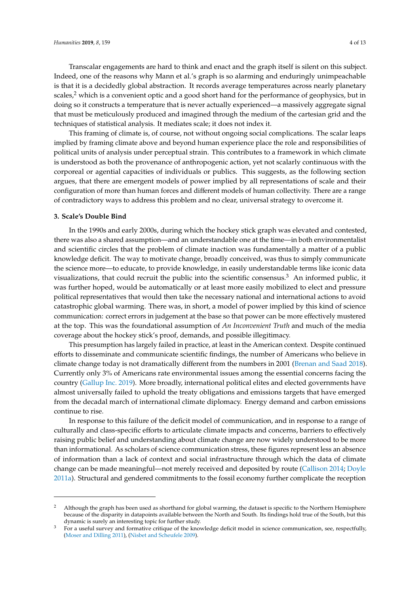Transcalar engagements are hard to think and enact and the graph itself is silent on this subject. Indeed, one of the reasons why Mann et al.'s graph is so alarming and enduringly unimpeachable is that it is a decidedly global abstraction. It records average temperatures across nearly planetary scales, $<sup>2</sup>$  which is a convenient optic and a good short hand for the performance of geophysics, but in</sup> doing so it constructs a temperature that is never actually experienced—a massively aggregate signal that must be meticulously produced and imagined through the medium of the cartesian grid and the techniques of statistical analysis. It mediates scale; it does not index it.

This framing of climate is, of course, not without ongoing social complications. The scalar leaps implied by framing climate above and beyond human experience place the role and responsibilities of political units of analysis under perceptual strain. This contributes to a framework in which climate is understood as both the provenance of anthropogenic action, yet not scalarly continuous with the corporeal or agential capacities of individuals or publics. This suggests, as the following section argues, that there are emergent models of power implied by all representations of scale and their configuration of more than human forces and different models of human collectivity. There are a range of contradictory ways to address this problem and no clear, universal strategy to overcome it.

#### **3. Scale's Double Bind**

In the 1990s and early 2000s, during which the hockey stick graph was elevated and contested, there was also a shared assumption—and an understandable one at the time—in both environmentalist and scientific circles that the problem of climate inaction was fundamentally a matter of a public knowledge deficit. The way to motivate change, broadly conceived, was thus to simply communicate the science more—to educate, to provide knowledge, in easily understandable terms like iconic data visualizations, that could recruit the public into the scientific consensus. $3$  An informed public, it was further hoped, would be automatically or at least more easily mobilized to elect and pressure political representatives that would then take the necessary national and international actions to avoid catastrophic global warming. There was, in short, a model of power implied by this kind of science communication: correct errors in judgement at the base so that power can be more effectively mustered at the top. This was the foundational assumption of *An Inconvenient Truth* and much of the media coverage about the hockey stick's proof, demands, and possible illegitimacy.

This presumption has largely failed in practice, at least in the American context. Despite continued efforts to disseminate and communicate scientific findings, the number of Americans who believe in climate change today is not dramatically different from the numbers in 2001 [\(Brenan and Saad](#page-10-4) [2018\)](#page-10-4). Currently only 3% of Americans rate environmental issues among the essential concerns facing the country [\(Gallup Inc.](#page-10-5) [2019\)](#page-10-5). More broadly, international political elites and elected governments have almost universally failed to uphold the treaty obligations and emissions targets that have emerged from the decadal march of international climate diplomacy. Energy demand and carbon emissions continue to rise.

In response to this failure of the deficit model of communication, and in response to a range of culturally and class-specific efforts to articulate climate impacts and concerns, barriers to effectively raising public belief and understanding about climate change are now widely understood to be more than informational. As scholars of science communication stress, these figures represent less an absence of information than a lack of context and social infrastructure through which the data of climate change can be made meaningful—not merely received and deposited by route [\(Callison](#page-10-6) [2014;](#page-10-6) [Doyle](#page-10-7) [2011a\)](#page-10-7). Structural and gendered commitments to the fossil economy further complicate the reception

<sup>2</sup> Although the graph has been used as shorthand for global warming, the dataset is specific to the Northern Hemisphere because of the disparity in datapoints available between the North and South. Its findings hold true of the South, but this dynamic is surely an interesting topic for further study.

<sup>&</sup>lt;sup>3</sup> For a useful survey and formative critique of the knowledge deficit model in science communication, see, respectfully, [\(Moser and Dilling](#page-11-7) [2011\)](#page-11-7), [\(Nisbet and Scheufele](#page-11-8) [2009\)](#page-11-8).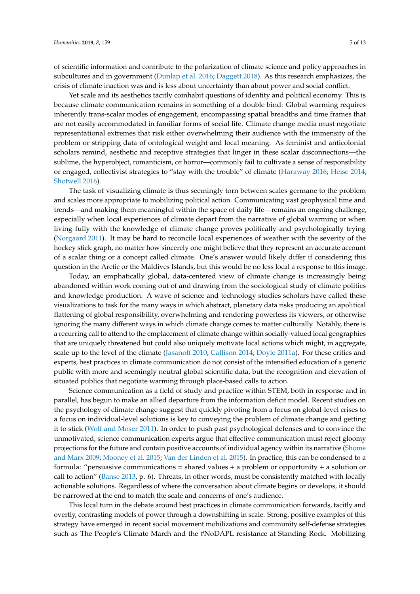of scientific information and contribute to the polarization of climate science and policy approaches in subcultures and in government [\(Dunlap et al.](#page-10-8) [2016;](#page-10-8) [Daggett](#page-10-9) [2018\)](#page-10-9). As this research emphasizes, the crisis of climate inaction was and is less about uncertainty than about power and social conflict.

Yet scale and its aesthetics tacitly coinhabit questions of identity and political economy. This is because climate communication remains in something of a double bind: Global warming requires inherently trans-scalar modes of engagement, encompassing spatial breadths and time frames that are not easily accommodated in familiar forms of social life. Climate change media must negotiate representational extremes that risk either overwhelming their audience with the immensity of the problem or stripping data of ontological weight and local meaning. As feminist and anticolonial scholars remind, aesthetic and receptive strategies that linger in these scalar disconnections—the sublime, the hyperobject, romanticism, or horror—commonly fail to cultivate a sense of responsibility or engaged, collectivist strategies to "stay with the trouble" of climate [\(Haraway](#page-10-10) [2016;](#page-10-10) [Heise](#page-10-11) [2014;](#page-10-11) [Shotwell](#page-11-9) [2016\)](#page-11-9).

The task of visualizing climate is thus seemingly torn between scales germane to the problem and scales more appropriate to mobilizing political action. Communicating vast geophysical time and trends—and making them meaningful within the space of daily life—remains an ongoing challenge, especially when local experiences of climate depart from the narrative of global warming or when living fully with the knowledge of climate change proves politically and psychologically trying [\(Norgaard](#page-11-10) [2011\)](#page-11-10). It may be hard to reconcile local experiences of weather with the severity of the hockey stick graph, no matter how sincerely one might believe that they represent an accurate account of a scalar thing or a concept called climate. One's answer would likely differ if considering this question in the Arctic or the Maldives Islands, but this would be no less local a response to this image.

Today, an emphatically global, data-centered view of climate change is increasingly being abandoned within work coming out of and drawing from the sociological study of climate politics and knowledge production. A wave of science and technology studies scholars have called these visualizations to task for the many ways in which abstract, planetary data risks producing an apolitical flattening of global responsibility, overwhelming and rendering powerless its viewers, or otherwise ignoring the many different ways in which climate change comes to matter culturally. Notably, there is a recurring call to attend to the emplacement of climate change within socially-valued local geographies that are uniquely threatened but could also uniquely motivate local actions which might, in aggregate, scale up to the level of the climate [\(Jasano](#page-10-12)ff [2010;](#page-10-12) [Callison](#page-10-6) [2014;](#page-10-6) [Doyle](#page-10-7) [2011a\)](#page-10-7). For these critics and experts, best practices in climate communication do not consist of the intensified education of a generic public with more and seemingly neutral global scientific data, but the recognition and elevation of situated publics that negotiate warming through place-based calls to action.

Science communication as a field of study and practice within STEM, both in response and in parallel, has begun to make an allied departure from the information deficit model. Recent studies on the psychology of climate change suggest that quickly pivoting from a focus on global-level crises to a focus on individual-level solutions is key to conveying the problem of climate change and getting it to stick [\(Wolf and Moser](#page-11-11) [2011\)](#page-11-11). In order to push past psychological defenses and to convince the unmotivated, science communication experts argue that effective communication must reject gloomy projections for the future and contain positive accounts of individual agency within its narrative [\(Shome](#page-11-12) [and Marx](#page-11-12) [2009;](#page-11-12) [Mooney et al.](#page-11-13) [2015;](#page-11-13) [Van der Linden et al.](#page-11-14) [2015\)](#page-11-14). In practice, this can be condensed to a formula: "persuasive communications = shared values  $+$  a problem or opportunity  $+$  a solution or call to action" [\(Banse](#page-9-1) [2013,](#page-9-1) p. 6). Threats, in other words, must be consistently matched with locally actionable solutions. Regardless of where the conversation about climate begins or develops, it should be narrowed at the end to match the scale and concerns of one's audience.

This local turn in the debate around best practices in climate communication forwards, tacitly and overtly, contrasting models of power through a downshifting in scale. Strong, positive examples of this strategy have emerged in recent social movement mobilizations and community self-defense strategies such as The People's Climate March and the #NoDAPL resistance at Standing Rock. Mobilizing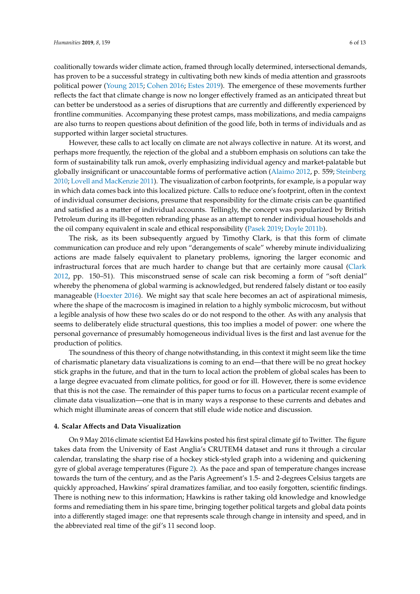coalitionally towards wider climate action, framed through locally determined, intersectional demands, has proven to be a successful strategy in cultivating both new kinds of media attention and grassroots political power [\(Young](#page-12-1) [2015;](#page-12-1) [Cohen](#page-10-13) [2016;](#page-10-13) [Estes](#page-10-14) [2019\)](#page-10-14). The emergence of these movements further reflects the fact that climate change is now no longer effectively framed as an anticipated threat but can better be understood as a series of disruptions that are currently and differently experienced by frontline communities. Accompanying these protest camps, mass mobilizations, and media campaigns are also turns to reopen questions about definition of the good life, both in terms of individuals and as supported within larger societal structures.

However, these calls to act locally on climate are not always collective in nature. At its worst, and perhaps more frequently, the rejection of the global and a stubborn emphasis on solutions can take the form of sustainability talk run amok, overly emphasizing individual agency and market-palatable but globally insignificant or unaccountable forms of performative action [\(Alaimo](#page-9-2) [2012,](#page-9-2) p. 559; [Steinberg](#page-11-15) [2010;](#page-11-15) [Lovell and MacKenzie](#page-10-15) [2011\)](#page-10-15). The visualization of carbon footprints, for example, is a popular way in which data comes back into this localized picture. Calls to reduce one's footprint, often in the context of individual consumer decisions, presume that responsibility for the climate crisis can be quantified and satisfied as a matter of individual accounts. Tellingly, the concept was popularized by British Petroleum during its ill-begotten rebranding phase as an attempt to render individual households and the oil company equivalent in scale and ethical responsibility [\(Pasek](#page-11-16) [2019;](#page-11-16) [Doyle](#page-10-16) [2011b\)](#page-10-16).

The risk, as its been subsequently argued by Timothy Clark, is that this form of climate communication can produce and rely upon "derangements of scale" whereby minute individualizing actions are made falsely equivalent to planetary problems, ignoring the larger economic and infrastructural forces that are much harder to change but that are certainly more causal [\(Clark](#page-10-17) [2012,](#page-10-17) pp. 150–51). This misconstrued sense of scale can risk becoming a form of "soft denial" whereby the phenomena of global warming is acknowledged, but rendered falsely distant or too easily manageable [\(Hoexter](#page-10-18) [2016\)](#page-10-18). We might say that scale here becomes an act of aspirational mimesis, where the shape of the macrocosm is imagined in relation to a highly symbolic microcosm, but without a legible analysis of how these two scales do or do not respond to the other. As with any analysis that seems to deliberately elide structural questions, this too implies a model of power: one where the personal governance of presumably homogeneous individual lives is the first and last avenue for the production of politics.

The soundness of this theory of change notwithstanding, in this context it might seem like the time of charismatic planetary data visualizations is coming to an end—that there will be no great hockey stick graphs in the future, and that in the turn to local action the problem of global scales has been to a large degree evacuated from climate politics, for good or for ill. However, there is some evidence that this is not the case. The remainder of this paper turns to focus on a particular recent example of climate data visualization—one that is in many ways a response to these currents and debates and which might illuminate areas of concern that still elude wide notice and discussion.

#### **4. Scalar A**ff**ects and Data Visualization**

On 9 May 2016 climate scientist Ed Hawkins posted his first spiral climate gif to Twitter. The figure takes data from the University of East Anglia's CRUTEM4 dataset and runs it through a circular calendar, translating the sharp rise of a hockey stick-styled graph into a widening and quickening gyre of global average temperatures (Figure [2\)](#page-6-0). As the pace and span of temperature changes increase towards the turn of the century, and as the Paris Agreement's 1.5- and 2-degrees Celsius targets are quickly approached, Hawkins' spiral dramatizes familiar, and too easily forgotten, scientific findings. There is nothing new to this information; Hawkins is rather taking old knowledge and knowledge forms and remediating them in his spare time, bringing together political targets and global data points into a differently staged image: one that represents scale through change in intensity and speed, and in the abbreviated real time of the gif's 11 second loop.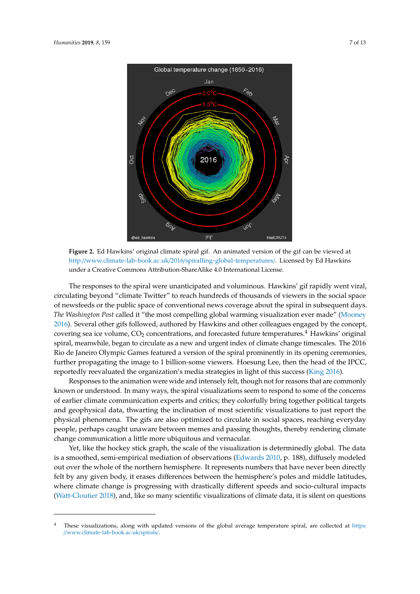<span id="page-6-0"></span>

**Figure 2.** Ed Hawkins' original climate spiral gif. An animated version of the gif can be viewed at **Figure 2.** Ed Hawkins' original climate spiral gif. An animated version of the gif can be viewed at [http://www.climate-lab-book.ac.uk/2016/spiralling-global-temperatures/.](http://www.climate-lab-book.ac.uk/2016/spiralling-global-temperatures/) Licensed by Ed Hawkins http://www.climate-lab-book.ac.uk/2016/spiralling-global-temperatures/. Licensed by Ed Hawkins under a Creative Commons Attribution-ShareAlike 4.0 International License. under a Creative Commons Attribution-ShareAlike 4.0 International License.

The responses to the spiral were unanticipated and voluminous. Hawkins' gif rapidly went viral, circulating beyond "climate Twitter" to reach hundreds of thousands of viewers in the social space circulating beyond "climate Twitter" to reach hundreds of thousands of viewers in the social space of newsfeeds or the public space of conventional news coverage about the spiral in subsequent days. *The Washington Post* called it "the most compelling global warming visualization ever made" [\(Mooney](#page-11-17) *The Washington Post* called it "the most compelling global warming visualization ever made" [2016\)](#page-11-17). Several other gifs followed, authored by Hawkins and other colleagues engaged by the concept,  $2016$ ). Several other gifs followed, authored by Hawkins and other colleagues engaged by the colleapt, covering sea ice volume,  $CO_2$  concentrations, and forecasted future temperatures.<sup>4</sup> Hawkins' original to vering sea ice volume, CO<sub>2</sub> concentrations, and forecasted future temperatures. Trawwills original spiral, meanwhile, began to circulate as a new and urgent index of climate change timescales. The 2016 the de janeiro Olympic Games featured a version of the spiral prominently in its operatio Germionics. further propagating the image to 1 billion-some viewers. Hoesung Lee, then the head of the IPCC, the head of the IPCC and the internal of the IPCC and strategies in light of this success (King 2010). The responses to the spiral were unanticipated and voluminous. Hawkins' gif rapidly went viral, of newsfeeds or the public space of conventional news coverage about the spiral in subsequent days. Rio de Janeiro Olympic Games featured a version of the spiral prominently in its opening ceremonies, reportedly reevaluated the organization's media strategies in light of this success [\(King](#page-10-19) [2016\)](#page-10-19).

 $\frac{1}{2}$ responses to the concerns to the animation were wide and intensely felt that are all the concerns or cannot common communication experis and erries, they construct or to some pointed targets and geophysical data, thwarting the inclination of most scientific visualizations to just report the priysical prominents. The gas are also optimized to circulate in social spaces, reacting everyday people, perhaps caught unaware between memes and passing thoughts, thereby rendering climate in social spaces, reaching climate everyday people, perhaps caught unaware between memes and passing thoughts, thereby rendering Responses to the animation were wide and intensely felt, though not for reasons that are commonly known or understood. In many ways, the spiral visualizations seem to respond to some of the concerns of earlier climate communication experts and critics; they colorfully bring together political targets physical phenomena. The gifs are also optimized to circulate in social spaces, reaching everyday change communication a little more ubiquitous and vernacular.

Yet, like the hockey stick graph, the scale of the visualization is determinedly global. The data is a smoothed, semi-empirical mediation of observations [\(Edwards](#page-10-0) [2010,](#page-10-0) p. 188), diffusely modeled<br>is a smoothed, semi-empirical mediation of observations (Edwards 2010, p. 188), diffusely modeled out over the whole of the northern hemisphere. It represents numbers that have never been directly model of the northern hemisphere. It represents numbers that have never been directly felt by any given body, it erases differences between the hemisphere's poles and middle latitudes, where climate change is progressing with drastically different speeds and socio-cultural impacts<br>Www.climate.com [\(Watt-Cloutier](#page-11-18) [2018\)](#page-11-18), and, like so many scientific visualizations of climate data, it is silent on questions  $\,$ 

<sup>&</sup>lt;sup>4</sup> These visualizations, along with updated versions of the global average temperature spiral, are collected at [https:](https://www.climate-lab-book.ac.uk/spirals/) //[www.climate-lab-book.ac.uk](https://www.climate-lab-book.ac.uk/spirals/)/spirals/.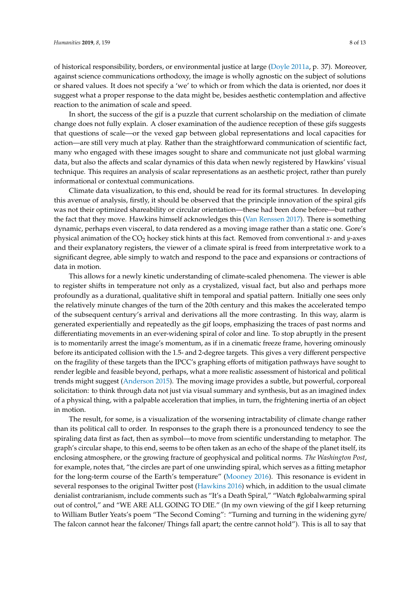of historical responsibility, borders, or environmental justice at large [\(Doyle](#page-10-7) [2011a,](#page-10-7) p. 37). Moreover, against science communications orthodoxy, the image is wholly agnostic on the subject of solutions or shared values. It does not specify a 'we' to which or from which the data is oriented, nor does it suggest what a proper response to the data might be, besides aesthetic contemplation and affective reaction to the animation of scale and speed.

In short, the success of the gif is a puzzle that current scholarship on the mediation of climate change does not fully explain. A closer examination of the audience reception of these gifs suggests that questions of scale—or the vexed gap between global representations and local capacities for action—are still very much at play. Rather than the straightforward communication of scientific fact, many who engaged with these images sought to share and communicate not just global warming data, but also the affects and scalar dynamics of this data when newly registered by Hawkins' visual technique. This requires an analysis of scalar representations as an aesthetic project, rather than purely informational or contextual communications.

Climate data visualization, to this end, should be read for its formal structures. In developing this avenue of analysis, firstly, it should be observed that the principle innovation of the spiral gifs was not their optimized shareability or circular orientation—these had been done before—but rather the fact that they move. Hawkins himself acknowledges this [\(Van Renssen](#page-11-19) [2017\)](#page-11-19). There is something dynamic, perhaps even visceral, to data rendered as a moving image rather than a static one. Gore's physical animation of the CO<sub>2</sub> hockey stick hints at this fact. Removed from conventional *x*- and *y*-axes and their explanatory registers, the viewer of a climate spiral is freed from interpretative work to a significant degree, able simply to watch and respond to the pace and expansions or contractions of data in motion.

This allows for a newly kinetic understanding of climate-scaled phenomena. The viewer is able to register shifts in temperature not only as a crystalized, visual fact, but also and perhaps more profoundly as a durational, qualitative shift in temporal and spatial pattern. Initially one sees only the relatively minute changes of the turn of the 20th century and this makes the accelerated tempo of the subsequent century's arrival and derivations all the more contrasting. In this way, alarm is generated experientially and repeatedly as the gif loops, emphasizing the traces of past norms and differentiating movements in an ever-widening spiral of color and line. To stop abruptly in the present is to momentarily arrest the image's momentum, as if in a cinematic freeze frame, hovering ominously before its anticipated collision with the 1.5- and 2-degree targets. This gives a very different perspective on the fragility of these targets than the IPCC's graphing efforts of mitigation pathways have sought to render legible and feasible beyond, perhaps, what a more realistic assessment of historical and political trends might suggest [\(Anderson](#page-9-3) [2015\)](#page-9-3). The moving image provides a subtle, but powerful, corporeal solicitation: to think through data not just via visual summary and synthesis, but as an imagined index of a physical thing, with a palpable acceleration that implies, in turn, the frightening inertia of an object in motion.

The result, for some, is a visualization of the worsening intractability of climate change rather than its political call to order. In responses to the graph there is a pronounced tendency to see the spiraling data first as fact, then as symbol—to move from scientific understanding to metaphor. The graph's circular shape, to this end, seems to be often taken as an echo of the shape of the planet itself, its enclosing atmosphere, or the growing fracture of geophysical and political norms. *The Washington Post*, for example, notes that, "the circles are part of one unwinding spiral, which serves as a fitting metaphor for the long-term course of the Earth's temperature" [\(Mooney](#page-11-17) [2016\)](#page-11-17). This resonance is evident in several responses to the original Twitter post [\(Hawkins](#page-10-20) [2016\)](#page-10-20) which, in addition to the usual climate denialist contrarianism, include comments such as "It's a Death Spiral," "Watch #globalwarming spiral out of control," and "WE ARE ALL GOING TO DIE." (In my own viewing of the gif I keep returning to William Butler Yeats's poem "The Second Coming": "Turning and turning in the widening gyre/ The falcon cannot hear the falconer/ Things fall apart; the centre cannot hold"). This is all to say that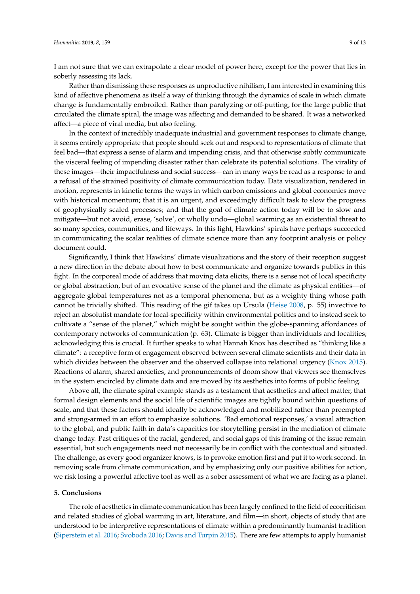I am not sure that we can extrapolate a clear model of power here, except for the power that lies in soberly assessing its lack.

Rather than dismissing these responses as unproductive nihilism, I am interested in examining this kind of affective phenomena as itself a way of thinking through the dynamics of scale in which climate change is fundamentally embroiled. Rather than paralyzing or off-putting, for the large public that circulated the climate spiral, the image was affecting and demanded to be shared. It was a networked affect—a piece of viral media, but also feeling.

In the context of incredibly inadequate industrial and government responses to climate change, it seems entirely appropriate that people should seek out and respond to representations of climate that feel bad—that express a sense of alarm and impending crisis, and that otherwise subtly communicate the visceral feeling of impending disaster rather than celebrate its potential solutions. The virality of these images—their impactfulness and social success—can in many ways be read as a response to and a refusal of the strained positivity of climate communication today. Data visualization, rendered in motion, represents in kinetic terms the ways in which carbon emissions and global economies move with historical momentum; that it is an urgent, and exceedingly difficult task to slow the progress of geophysically scaled processes; and that the goal of climate action today will be to slow and mitigate—but not avoid, erase, 'solve', or wholly undo—global warming as an existential threat to so many species, communities, and lifeways. In this light, Hawkins' spirals have perhaps succeeded in communicating the scalar realities of climate science more than any footprint analysis or policy document could.

Significantly, I think that Hawkins' climate visualizations and the story of their reception suggest a new direction in the debate about how to best communicate and organize towards publics in this fight. In the corporeal mode of address that moving data elicits, there is a sense not of local specificity or global abstraction, but of an evocative sense of the planet and the climate as physical entities—of aggregate global temperatures not as a temporal phenomena, but as a weighty thing whose path cannot be trivially shifted. This reading of the gif takes up Ursula [\(Heise](#page-10-21) [2008,](#page-10-21) p. 55) invective to reject an absolutist mandate for local-specificity within environmental politics and to instead seek to cultivate a "sense of the planet," which might be sought within the globe-spanning affordances of contemporary networks of communication (p. 63). Climate is bigger than individuals and localities; acknowledging this is crucial. It further speaks to what Hannah Knox has described as "thinking like a climate": a receptive form of engagement observed between several climate scientists and their data in which divides between the observer and the observed collapse into relational urgency [\(Knox](#page-10-1) [2015\)](#page-10-1). Reactions of alarm, shared anxieties, and pronouncements of doom show that viewers see themselves in the system encircled by climate data and are moved by its aesthetics into forms of public feeling.

Above all, the climate spiral example stands as a testament that aesthetics and affect matter, that formal design elements and the social life of scientific images are tightly bound within questions of scale, and that these factors should ideally be acknowledged and mobilized rather than preempted and strong-armed in an effort to emphasize solutions. 'Bad emotional responses,' a visual attraction to the global, and public faith in data's capacities for storytelling persist in the mediation of climate change today. Past critiques of the racial, gendered, and social gaps of this framing of the issue remain essential, but such engagements need not necessarily be in conflict with the contextual and situated. The challenge, as every good organizer knows, is to provoke emotion first and put it to work second. In removing scale from climate communication, and by emphasizing only our positive abilities for action, we risk losing a powerful affective tool as well as a sober assessment of what we are facing as a planet.

#### **5. Conclusions**

The role of aesthetics in climate communication has been largely confined to the field of ecocriticism and related studies of global warming in art, literature, and film—in short, objects of study that are understood to be interpretive representations of climate within a predominantly humanist tradition [\(Siperstein et al.](#page-11-20) [2016;](#page-11-20) [Svoboda](#page-11-21) [2016;](#page-11-21) [Davis and Turpin](#page-10-22) [2015\)](#page-10-22). There are few attempts to apply humanist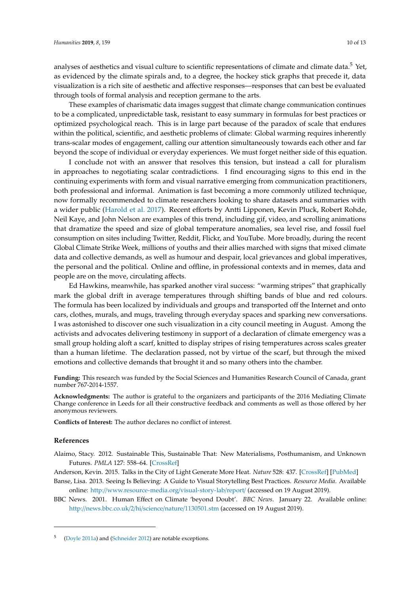analyses of aesthetics and visual culture to scientific representations of climate and climate data.<sup>5</sup> Yet, as evidenced by the climate spirals and, to a degree, the hockey stick graphs that precede it, data visualization is a rich site of aesthetic and affective responses—responses that can best be evaluated through tools of formal analysis and reception germane to the arts.

These examples of charismatic data images suggest that climate change communication continues to be a complicated, unpredictable task, resistant to easy summary in formulas for best practices or optimized psychological reach. This is in large part because of the paradox of scale that endures within the political, scientific, and aesthetic problems of climate: Global warming requires inherently trans-scalar modes of engagement, calling our attention simultaneously towards each other and far beyond the scope of individual or everyday experiences. We must forget neither side of this equation.

I conclude not with an answer that resolves this tension, but instead a call for pluralism in approaches to negotiating scalar contradictions. I find encouraging signs to this end in the continuing experiments with form and visual narrative emerging from communication practitioners, both professional and informal. Animation is fast becoming a more commonly utilized technique, now formally recommended to climate researchers looking to share datasets and summaries with a wider public [\(Harold et al.](#page-10-23) [2017\)](#page-10-23). Recent efforts by Antti Lipponen, Kevin Pluck, Robert Rohde, Neil Kaye, and John Nelson are examples of this trend, including gif, video, and scrolling animations that dramatize the speed and size of global temperature anomalies, sea level rise, and fossil fuel consumption on sites including Twitter, Reddit, Flickr, and YouTube. More broadly, during the recent Global Climate Strike Week, millions of youths and their allies marched with signs that mixed climate data and collective demands, as well as humour and despair, local grievances and global imperatives, the personal and the political. Online and offline, in professional contexts and in memes, data and people are on the move, circulating affects.

Ed Hawkins, meanwhile, has sparked another viral success: "warming stripes" that graphically mark the global drift in average temperatures through shifting bands of blue and red colours. The formula has been localized by individuals and groups and transported off the Internet and onto cars, clothes, murals, and mugs, traveling through everyday spaces and sparking new conversations. I was astonished to discover one such visualization in a city council meeting in August. Among the activists and advocates delivering testimony in support of a declaration of climate emergency was a small group holding aloft a scarf, knitted to display stripes of rising temperatures across scales greater than a human lifetime. The declaration passed, not by virtue of the scarf, but through the mixed emotions and collective demands that brought it and so many others into the chamber.

**Funding:** This research was funded by the Social Sciences and Humanities Research Council of Canada, grant number 767-2014-1557.

**Acknowledgments:** The author is grateful to the organizers and participants of the 2016 Mediating Climate Change conference in Leeds for all their constructive feedback and comments as well as those offered by her anonymous reviewers.

**Conflicts of Interest:** The author declares no conflict of interest.

#### **References**

<span id="page-9-2"></span>Alaimo, Stacy. 2012. Sustainable This, Sustainable That: New Materialisms, Posthumanism, and Unknown Futures. *PMLA* 127: 558–64. [\[CrossRef\]](http://dx.doi.org/10.1632/pmla.2012.127.3.558)

<span id="page-9-3"></span><span id="page-9-1"></span>Anderson, Kevin. 2015. Talks in the City of Light Generate More Heat. *Nature* 528: 437. [\[CrossRef\]](http://dx.doi.org/10.1038/528437a) [\[PubMed\]](http://www.ncbi.nlm.nih.gov/pubmed/26701018)

- Banse, Lisa. 2013. Seeing Is Believing: A Guide to Visual Storytelling Best Practices. *Resource Media*. Available online: http://[www.resource-media.org](http://www.resource-media.org/visual-story-lab/report/)/visual-story-lab/report/ (accessed on 19 August 2019).
- <span id="page-9-0"></span>BBC News. 2001. Human Effect on Climate 'beyond Doubt'. *BBC News*. January 22. Available online: http://[news.bbc.co.uk](http://news.bbc.co.uk/2/hi/science/nature/1130501.stm)/2/hi/science/nature/1130501.stm (accessed on 19 August 2019).

<sup>5</sup> [\(Doyle](#page-10-7) [2011a\)](#page-10-7) and [\(Schneider](#page-11-0) [2012\)](#page-11-0) are notable exceptions.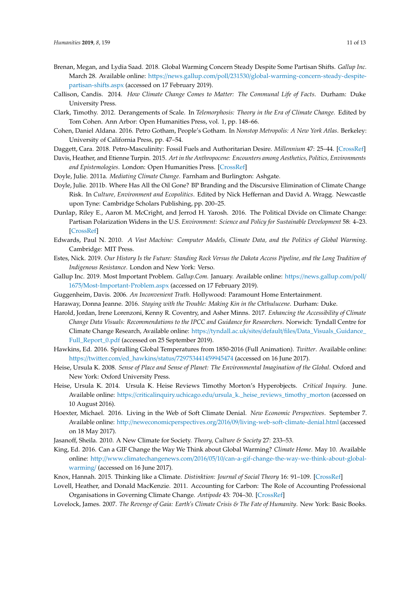- <span id="page-10-4"></span>Brenan, Megan, and Lydia Saad. 2018. Global Warming Concern Steady Despite Some Partisan Shifts. *Gallup Inc.* March 28. Available online: https://news.gallup.com/poll/231530/[global-warming-concern-steady-despite](https://news.gallup.com/poll/231530/global-warming-concern-steady-despite-partisan-shifts.aspx)[partisan-shifts.aspx](https://news.gallup.com/poll/231530/global-warming-concern-steady-despite-partisan-shifts.aspx) (accessed on 17 February 2019).
- <span id="page-10-6"></span>Callison, Candis. 2014. *How Climate Change Comes to Matter: The Communal Life of Facts*. Durham: Duke University Press.
- <span id="page-10-17"></span>Clark, Timothy. 2012. Derangements of Scale. In *Telemorphosis: Theory in the Era of Climate Change*. Edited by Tom Cohen. Ann Arbor: Open Humanities Press, vol. 1, pp. 148–66.
- <span id="page-10-13"></span>Cohen, Daniel Aldana. 2016. Petro Gotham, People's Gotham. In *Nonstop Metropolis: A New York Atlas*. Berkeley: University of California Press, pp. 47–54.
- <span id="page-10-9"></span>Daggett, Cara. 2018. Petro-Masculinity: Fossil Fuels and Authoritarian Desire. *Millennium* 47: 25–44. [\[CrossRef\]](http://dx.doi.org/10.1177/0305829818775817)
- <span id="page-10-22"></span>Davis, Heather, and Etienne Turpin. 2015. *Art in the Anthropocene: Encounters among Aesthetics, Politics, Environments and Epistemologies*. London: Open Humanities Press. [\[CrossRef\]](http://dx.doi.org/10.26530/oapen_560010)
- <span id="page-10-7"></span>Doyle, Julie. 2011a. *Mediating Climate Change*. Farnham and Burlington: Ashgate.
- <span id="page-10-16"></span>Doyle, Julie. 2011b. Where Has All the Oil Gone? BP Branding and the Discursive Elimination of Climate Change Risk. In *Culture, Environment and Ecopolitics*. Edited by Nick Heffernan and David A. Wragg. Newcastle upon Tyne: Cambridge Scholars Publishing, pp. 200–25.
- <span id="page-10-8"></span>Dunlap, Riley E., Aaron M. McCright, and Jerrod H. Yarosh. 2016. The Political Divide on Climate Change: Partisan Polarization Widens in the U.S. *Environment: Science and Policy for Sustainable Development* 58: 4–23. [\[CrossRef\]](http://dx.doi.org/10.1080/00139157.2016.1208995)
- <span id="page-10-0"></span>Edwards, Paul N. 2010. *A Vast Machine: Computer Models, Climate Data, and the Politics of Global Warming*. Cambridge: MIT Press.
- <span id="page-10-14"></span>Estes, Nick. 2019. *Our History Is the Future: Standing Rock Versus the Dakota Access Pipeline, and the Long Tradition of Indigenous Resistance*. London and New York: Verso.
- <span id="page-10-5"></span>Gallup Inc. 2019. Most Important Problem. *Gallup.Com.* January. Available online: https://[news.gallup.com](https://news.gallup.com/poll/1675/Most-Important-Problem.aspx)/poll/ 1675/[Most-Important-Problem.aspx](https://news.gallup.com/poll/1675/Most-Important-Problem.aspx) (accessed on 17 February 2019).
- <span id="page-10-10"></span><span id="page-10-2"></span>Guggenheim, Davis. 2006. *An Inconvenient Truth*. Hollywood: Paramount Home Entertainment.
- Haraway, Donna Jeanne. 2016. *Staying with the Trouble: Making Kin in the Chthulucene*. Durham: Duke.
- <span id="page-10-23"></span>Harold, Jordan, Irene Lorenzoni, Kenny R. Coventry, and Asher Minns. 2017. *Enhancing the Accessibility of Climate Change Data Visuals: Recommendations to the IPCC and Guidance for Researchers*. Norwich: Tyndall Centre for Climate Change Research, Available online: https://tyndall.ac.uk/sites/default/files/[Data\\_Visuals\\_Guidance\\_](https://tyndall.ac.uk/sites/default/files/Data_Visuals_Guidance_Full_Report_0.pdf) [Full\\_Report\\_0.pdf](https://tyndall.ac.uk/sites/default/files/Data_Visuals_Guidance_Full_Report_0.pdf) (accessed on 25 September 2019).
- <span id="page-10-20"></span>Hawkins, Ed. 2016. Spiralling Global Temperatures from 1850-2016 (Full Animation). *Twitter*. Available online: https://twitter.com/ed\_hawkins/status/[729753441459945474](https://twitter.com/ed_hawkins/status/729753441459945474) (accessed on 16 June 2017).
- <span id="page-10-21"></span>Heise, Ursula K. 2008. *Sense of Place and Sense of Planet: The Environmental Imagination of the Global*. Oxford and New York: Oxford University Press.
- <span id="page-10-11"></span>Heise, Ursula K. 2014. Ursula K. Heise Reviews Timothy Morton's Hyperobjects. *Critical Inquiry*. June. Available online: https://criticalinquiry.uchicago.edu/[ursula\\_k.\\_heise\\_reviews\\_timothy\\_morton](https://criticalinquiry.uchicago.edu/ursula_k._heise_reviews_timothy_morton) (accessed on 10 August 2016).
- <span id="page-10-18"></span>Hoexter, Michael. 2016. Living in the Web of Soft Climate Denial. *New Economic Perspectives*. September 7. Available online: http://neweconomicperspectives.org/2016/09/[living-web-soft-climate-denial.html](http://neweconomicperspectives.org/2016/09/living-web-soft-climate-denial.html) (accessed on 18 May 2017).
- <span id="page-10-19"></span><span id="page-10-12"></span>Jasanoff, Sheila. 2010. A New Climate for Society. *Theory, Culture & Society* 27: 233–53.
- King, Ed. 2016. Can a GIF Change the Way We Think about Global Warming? *Climate Home*. May 10. Available online: http://www.climatechangenews.com/2016/05/10/[can-a-gif-change-the-way-we-think-about-global](http://www.climatechangenews.com/2016/05/10/can-a-gif-change-the-way-we-think-about-global-warming/)[warming](http://www.climatechangenews.com/2016/05/10/can-a-gif-change-the-way-we-think-about-global-warming/)/ (accessed on 16 June 2017).
- <span id="page-10-1"></span>Knox, Hannah. 2015. Thinking like a Climate. *Distinktion: Journal of Social Theory* 16: 91–109. [\[CrossRef\]](http://dx.doi.org/10.1080/1600910X.2015.1022565)
- <span id="page-10-15"></span>Lovell, Heather, and Donald MacKenzie. 2011. Accounting for Carbon: The Role of Accounting Professional Organisations in Governing Climate Change. *Antipode* 43: 704–30. [\[CrossRef\]](http://dx.doi.org/10.1111/j.1467-8330.2011.00883.x)
- <span id="page-10-3"></span>Lovelock, James. 2007. *The Revenge of Gaia: Earth's Climate Crisis & The Fate of Humanity*. New York: Basic Books.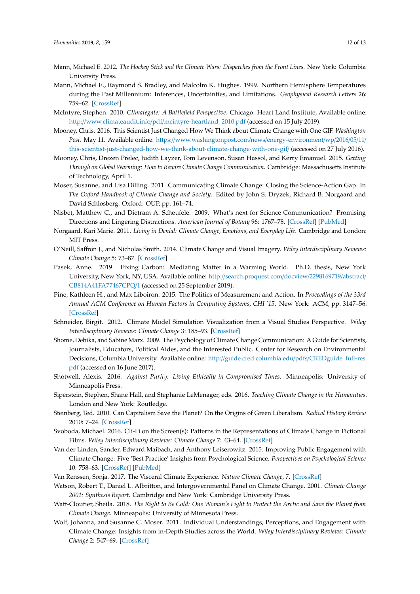- <span id="page-11-5"></span>Mann, Michael E. 2012. *The Hockey Stick and the Climate Wars: Dispatches from the Front Lines*. New York: Columbia University Press.
- <span id="page-11-3"></span>Mann, Michael E., Raymond S. Bradley, and Malcolm K. Hughes. 1999. Northern Hemisphere Temperatures during the Past Millennium: Inferences, Uncertainties, and Limitations. *Geophysical Research Letters* 26: 759–62. [\[CrossRef\]](http://dx.doi.org/10.1029/1999GL900070)
- <span id="page-11-6"></span>McIntyre, Stephen. 2010. *Climategate: A Battlefield Perspective*. Chicago: Heart Land Institute, Available online: http://www.climateaudit.info/pdf/[mcintyre-heartland\\_2010.pdf](http://www.climateaudit.info/pdf/mcintyre-heartland_2010.pdf) (accessed on 15 July 2019).
- <span id="page-11-17"></span>Mooney, Chris. 2016. This Scientist Just Changed How We Think about Climate Change with One GIF. *Washington Post*. May 11. Available online: https://[www.washingtonpost.com](https://www.washingtonpost.com/news/energy-environment/wp/2016/05/11/this-scientist-just-changed-how-we-think-about-climate-change-with-one-gif/)/news/energy-environment/wp/2016/05/11/ [this-scientist-just-changed-how-we-think-about-climate-change-with-one-gif](https://www.washingtonpost.com/news/energy-environment/wp/2016/05/11/this-scientist-just-changed-how-we-think-about-climate-change-with-one-gif/)/ (accessed on 27 July 2016).
- <span id="page-11-13"></span>Mooney, Chris, Drezen Prelec, Judith Layzer, Tom Levenson, Susan Hassol, and Kerry Emanuel. 2015. *Getting Through on Global Warming: How to Rewire Climate Change Communication*. Cambridge: Massachusetts Institute of Technology, April 1.
- <span id="page-11-7"></span>Moser, Susanne, and Lisa Dilling. 2011. Communicating Climate Change: Closing the Science-Action Gap. In *The Oxford Handbook of Climate Change and Society*. Edited by John S. Dryzek, Richard B. Norgaard and David Schlosberg. Oxford: OUP, pp. 161–74.
- <span id="page-11-8"></span>Nisbet, Matthew C., and Dietram A. Scheufele. 2009. What's next for Science Communication? Promising Directions and Lingering Distractions. *American Journal of Botany* 96: 1767–78. [\[CrossRef\]](http://dx.doi.org/10.3732/ajb.0900041) [\[PubMed\]](http://www.ncbi.nlm.nih.gov/pubmed/21622297)
- <span id="page-11-10"></span>Norgaard, Kari Marie. 2011. *Living in Denial: Climate Change, Emotions, and Everyday Life*. Cambridge and London: MIT Press.
- <span id="page-11-1"></span>O'Neill, Saffron J., and Nicholas Smith. 2014. Climate Change and Visual Imagery. *Wiley Interdisciplinary Reviews: Climate Change* 5: 73–87. [\[CrossRef\]](http://dx.doi.org/10.1002/wcc.249)
- <span id="page-11-16"></span>Pasek, Anne. 2019. Fixing Carbon: Mediating Matter in a Warming World. Ph.D. thesis, New York University, New York, NY, USA. Available online: http://[search.proquest.com](http://search.proquest.com/docview/2298169719/abstract/CB814A41FA77467CPQ/1)/docview/2298169719/abstract/ [CB814A41FA77467CPQ](http://search.proquest.com/docview/2298169719/abstract/CB814A41FA77467CPQ/1)/1 (accessed on 25 September 2019).
- <span id="page-11-2"></span>Pine, Kathleen H., and Max Liboiron. 2015. The Politics of Measurement and Action. In *Proceedings of the 33rd Annual ACM Conference on Human Factors in Computing Systems, CHI '15*. New York: ACM, pp. 3147–56. [\[CrossRef\]](http://dx.doi.org/10.1145/2702123)
- <span id="page-11-0"></span>Schneider, Birgit. 2012. Climate Model Simulation Visualization from a Visual Studies Perspective. *Wiley Interdisciplinary Reviews: Climate Change* 3: 185–93. [\[CrossRef\]](http://dx.doi.org/10.1002/wcc.162)
- <span id="page-11-12"></span>Shome, Debika, and Sabine Marx. 2009. The Psychology of Climate Change Communication: A Guide for Scientists, Journalists, Educators, Political Aides, and the Interested Public. Center for Research on Environmental Decisions, Columbia University. Available online: http://[guide.cred.columbia.edu](http://guide.cred.columbia.edu/pdfs/CREDguide_full-res.pdf)/pdfs/CREDguide\_full-res. [pdf](http://guide.cred.columbia.edu/pdfs/CREDguide_full-res.pdf) (accessed on 16 June 2017).
- <span id="page-11-9"></span>Shotwell, Alexis. 2016. *Against Purity: Living Ethically in Compromised Times*. Minneapolis: University of Minneapolis Press.
- <span id="page-11-20"></span>Siperstein, Stephen, Shane Hall, and Stephanie LeMenager, eds. 2016. *Teaching Climate Change in the Humanities*. London and New York: Routledge.
- <span id="page-11-15"></span>Steinberg, Ted. 2010. Can Capitalism Save the Planet? On the Origins of Green Liberalism. *Radical History Review* 2010: 7–24. [\[CrossRef\]](http://dx.doi.org/10.1215/01636545-2009-032)
- <span id="page-11-21"></span>Svoboda, Michael. 2016. Cli-Fi on the Screen(s): Patterns in the Representations of Climate Change in Fictional Films. *Wiley Interdisciplinary Reviews: Climate Change* 7: 43–64. [\[CrossRef\]](http://dx.doi.org/10.1002/wcc.381)
- <span id="page-11-14"></span>Van der Linden, Sander, Edward Maibach, and Anthony Leiserowitz. 2015. Improving Public Engagement with Climate Change: Five 'Best Practice' Insights from Psychological Science. *Perspectives on Psychological Science* 10: 758–63. [\[CrossRef\]](http://dx.doi.org/10.1177/1745691615598516) [\[PubMed\]](http://www.ncbi.nlm.nih.gov/pubmed/26581732)
- <span id="page-11-19"></span>Van Renssen, Sonja. 2017. The Visceral Climate Experience. *Nature Climate Change*, 7. [\[CrossRef\]](http://dx.doi.org/10.1038/nclimate3233)
- <span id="page-11-4"></span>Watson, Robert T., Daniel L. Albritton, and Intergovernmental Panel on Climate Change. 2001. *Climate Change 2001: Synthesis Report*. Cambridge and New York: Cambridge University Press.
- <span id="page-11-18"></span>Watt-Cloutier, Sheila. 2018. *The Right to Be Cold: One Woman's Fight to Protect the Arctic and Save the Planet from Climate Change*. Minneapolis: University of Minnesota Press.
- <span id="page-11-11"></span>Wolf, Johanna, and Susanne C. Moser. 2011. Individual Understandings, Perceptions, and Engagement with Climate Change: Insights from in-Depth Studies across the World. *Wiley Interdisciplinary Reviews: Climate Change* 2: 547–69. [\[CrossRef\]](http://dx.doi.org/10.1002/wcc.120)